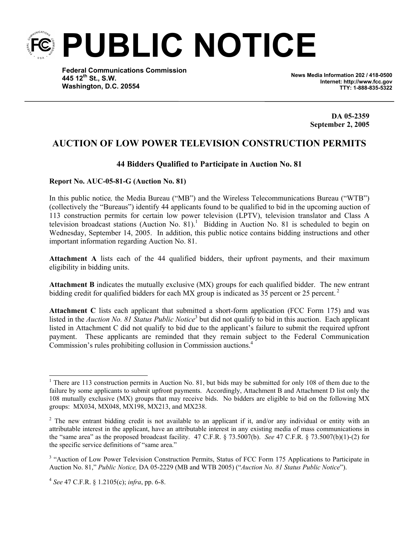

**Federal Communications Commission 445 12th St., S.W. Washington, D.C. 20554**

**News Media Information 202 / 418-0500 Internet: http://www.fcc.gov TTY: 1-888-835-5322**

> **DA 05-2359 September 2, 2005**

## **AUCTION OF LOW POWER TELEVISION CONSTRUCTION PERMITS**

## **44 Bidders Qualified to Participate in Auction No. 81**

## **Report No. AUC-05-81-G (Auction No. 81)**

In this public notice*,* the Media Bureau ("MB") and the Wireless Telecommunications Bureau ("WTB") (collectively the "Bureaus") identify 44 applicants found to be qualified to bid in the upcoming auction of 113 construction permits for certain low power television (LPTV), television translator and Class A television broadcast stations (Auction No.  $81$ ).<sup>1</sup> Bidding in Auction No. 81 is scheduled to begin on Wednesday, September 14, 2005. In addition, this public notice contains bidding instructions and other important information regarding Auction No. 81.

**Attachment A** lists each of the 44 qualified bidders, their upfront payments, and their maximum eligibility in bidding units.

**Attachment B** indicates the mutually exclusive (MX) groups for each qualified bidder. The new entrant bidding credit for qualified bidders for each MX group is indicated as 35 percent or 25 percent.<sup>2</sup>

**Attachment C** lists each applicant that submitted a short-form application (FCC Form 175) and was listed in the *Auction No. 81 Status Public Notice*<sup>3</sup> but did not qualify to bid in this auction. Each applicant listed in Attachment C did not qualify to bid due to the applicant's failure to submit the required upfront payment. These applicants are reminded that they remain subject to the Federal Communication Commission's rules prohibiting collusion in Commission auctions.<sup>4</sup>

<sup>&</sup>lt;sup>1</sup> There are 113 construction permits in Auction No. 81, but bids may be submitted for only 108 of them due to the failure by some applicants to submit upfront payments. Accordingly, Attachment B and Attachment D list only the 108 mutually exclusive (MX) groups that may receive bids. No bidders are eligible to bid on the following MX groups: MX034, MX048, MX198, MX213, and MX238.

<sup>&</sup>lt;sup>2</sup> The new entrant bidding credit is not available to an applicant if it, and/or any individual or entity with an attributable interest in the applicant, have an attributable interest in any existing media of mass communications in the "same area" as the proposed broadcast facility. 47 C.F.R. § 73.5007(b). *See* 47 C.F.R. § 73.5007(b)(1)-(2) for the specific service definitions of "same area."

<sup>&</sup>lt;sup>3</sup> "Auction of Low Power Television Construction Permits, Status of FCC Form 175 Applications to Participate in Auction No. 81," *Public Notice,* DA 05-2229 (MB and WTB 2005) ("*Auction No. 81 Status Public Notice*").

<sup>4</sup> *See* 47 C.F.R. § 1.2105(c); *infra*, pp. 6-8.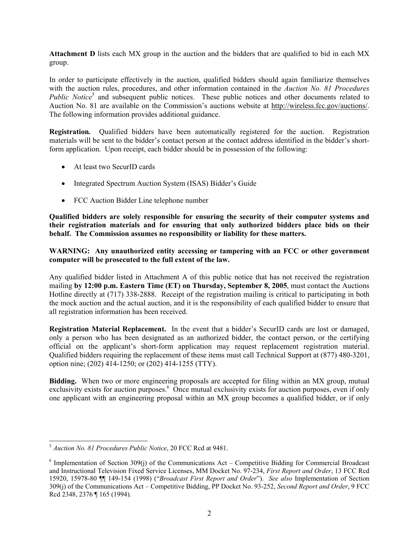**Attachment D** lists each MX group in the auction and the bidders that are qualified to bid in each MX group.

In order to participate effectively in the auction, qualified bidders should again familiarize themselves with the auction rules, procedures, and other information contained in the *Auction No. 81 Procedures*  Public Notice<sup>5</sup> and subsequent public notices. These public notices and other documents related to Auction No. 81 are available on the Commission's auctions website at http://wireless.fcc.gov/auctions/. The following information provides additional guidance.

**Registration***.* Qualified bidders have been automatically registered for the auction. Registration materials will be sent to the bidder's contact person at the contact address identified in the bidder's shortform application. Upon receipt, each bidder should be in possession of the following:

- At least two SecurID cards
- Integrated Spectrum Auction System (ISAS) Bidder's Guide
- FCC Auction Bidder Line telephone number

**Qualified bidders are solely responsible for ensuring the security of their computer systems and their registration materials and for ensuring that only authorized bidders place bids on their behalf. The Commission assumes no responsibility or liability for these matters.** 

**WARNING: Any unauthorized entity accessing or tampering with an FCC or other government computer will be prosecuted to the full extent of the law.** 

Any qualified bidder listed in Attachment A of this public notice that has not received the registration mailing **by 12:00 p.m. Eastern Time (ET) on Thursday, September 8, 2005**, must contact the Auctions Hotline directly at (717) 338-2888. Receipt of the registration mailing is critical to participating in both the mock auction and the actual auction, and it is the responsibility of each qualified bidder to ensure that all registration information has been received.

**Registration Material Replacement.** In the event that a bidder's SecurID cards are lost or damaged, only a person who has been designated as an authorized bidder, the contact person, or the certifying official on the applicant's short-form application may request replacement registration material. Qualified bidders requiring the replacement of these items must call Technical Support at (877) 480-3201, option nine; (202) 414-1250; or (202) 414-1255 (TTY).

**Bidding.** When two or more engineering proposals are accepted for filing within an MX group, mutual exclusivity exists for auction purposes.<sup>6</sup> Once mutual exclusivity exists for auction purposes, even if only one applicant with an engineering proposal within an MX group becomes a qualified bidder, or if only

<sup>5</sup> *Auction No. 81 Procedures Public Notice*, 20 FCC Rcd at 9481.

 $6$  Implementation of Section 309(j) of the Communications Act – Competitive Bidding for Commercial Broadcast and Instructional Television Fixed Service Licenses, MM Docket No. 97-234, *First Report and Order*, 13 FCC Rcd 15920, 15978-80 ¶¶ 149-154 (1998) ("*Broadcast First Report and Order*"). *See also* Implementation of Section 309(j) of the Communications Act – Competitive Bidding, PP Docket No. 93-252, *Second Report and Order*, 9 FCC Rcd 2348, 2376 ¶ 165 (1994).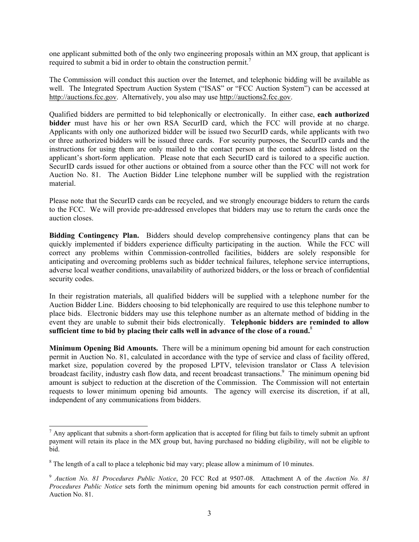one applicant submitted both of the only two engineering proposals within an MX group, that applicant is required to submit a bid in order to obtain the construction permit.<sup>7</sup>

The Commission will conduct this auction over the Internet, and telephonic bidding will be available as well. The Integrated Spectrum Auction System ("ISAS" or "FCC Auction System") can be accessed at http://auctions.fcc.gov. Alternatively, you also may use http://auctions2.fcc.gov.

Qualified bidders are permitted to bid telephonically or electronically. In either case, **each authorized bidder** must have his or her own RSA SecurID card, which the FCC will provide at no charge. Applicants with only one authorized bidder will be issued two SecurID cards, while applicants with two or three authorized bidders will be issued three cards. For security purposes, the SecurID cards and the instructions for using them are only mailed to the contact person at the contact address listed on the applicant's short-form application. Please note that each SecurID card is tailored to a specific auction. SecurID cards issued for other auctions or obtained from a source other than the FCC will not work for Auction No. 81. The Auction Bidder Line telephone number will be supplied with the registration material.

Please note that the SecurID cards can be recycled, and we strongly encourage bidders to return the cards to the FCC. We will provide pre-addressed envelopes that bidders may use to return the cards once the auction closes.

**Bidding Contingency Plan.** Bidders should develop comprehensive contingency plans that can be quickly implemented if bidders experience difficulty participating in the auction. While the FCC will correct any problems within Commission-controlled facilities, bidders are solely responsible for anticipating and overcoming problems such as bidder technical failures, telephone service interruptions, adverse local weather conditions, unavailability of authorized bidders, or the loss or breach of confidential security codes.

In their registration materials, all qualified bidders will be supplied with a telephone number for the Auction Bidder Line. Bidders choosing to bid telephonically are required to use this telephone number to place bids. Electronic bidders may use this telephone number as an alternate method of bidding in the event they are unable to submit their bids electronically. **Telephonic bidders are reminded to allow sufficient time to bid by placing their calls well in advance of the close of a round.**<sup>8</sup>

**Minimum Opening Bid Amounts.** There will be a minimum opening bid amount for each construction permit in Auction No. 81, calculated in accordance with the type of service and class of facility offered, market size, population covered by the proposed LPTV, television translator or Class A television broadcast facility, industry cash flow data, and recent broadcast transactions.<sup>9</sup> The minimum opening bid amount is subject to reduction at the discretion of the Commission. The Commission will not entertain requests to lower minimum opening bid amounts. The agency will exercise its discretion, if at all, independent of any communications from bidders.

 $<sup>7</sup>$  Any applicant that submits a short-form application that is accepted for filing but fails to timely submit an upfront</sup> payment will retain its place in the MX group but, having purchased no bidding eligibility, will not be eligible to bid.

 $8$  The length of a call to place a telephonic bid may vary; please allow a minimum of 10 minutes.

<sup>9</sup> *Auction No. 81 Procedures Public Notice*, 20 FCC Rcd at 9507-08. Attachment A of the *Auction No. 81 Procedures Public Notice* sets forth the minimum opening bid amounts for each construction permit offered in Auction No. 81.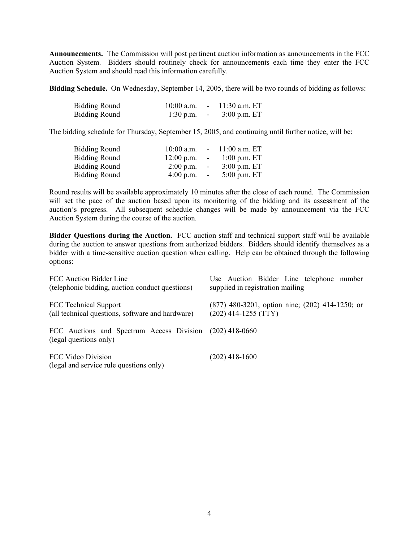**Announcements.** The Commission will post pertinent auction information as announcements in the FCC Auction System. Bidders should routinely check for announcements each time they enter the FCC Auction System and should read this information carefully.

**Bidding Schedule.** On Wednesday, September 14, 2005, there will be two rounds of bidding as follows:

| <b>Bidding Round</b> | $10:00$ a.m. | $11:30$ a.m. ET |
|----------------------|--------------|-----------------|
| <b>Bidding Round</b> | $1:30$ p.m.  | $3:00$ p.m. ET  |

The bidding schedule for Thursday, September 15, 2005, and continuing until further notice, will be:

| $12:00$ p.m. |            | $1:00$ p.m. ET                                         |
|--------------|------------|--------------------------------------------------------|
| $2:00$ p.m.  | $\sim$ $-$ | $3:00$ p.m. ET                                         |
| $4:00$ p.m.  | $\sim$     | $5:00$ p.m. ET                                         |
|              |            | $10:00$ a.m. $-11:00$ a.m. ET<br>$\sim 1000$ m $^{-1}$ |

Round results will be available approximately 10 minutes after the close of each round. The Commission will set the pace of the auction based upon its monitoring of the bidding and its assessment of the auction's progress. All subsequent schedule changes will be made by announcement via the FCC Auction System during the course of the auction.

**Bidder Questions during the Auction.** FCC auction staff and technical support staff will be available during the auction to answer questions from authorized bidders. Bidders should identify themselves as a bidder with a time-sensitive auction question when calling. Help can be obtained through the following options:

| FCC Auction Bidder Line                                                            | Use Auction Bidder Line telephone number            |  |  |  |
|------------------------------------------------------------------------------------|-----------------------------------------------------|--|--|--|
| (telephonic bidding, auction conduct questions)                                    | supplied in registration mailing                    |  |  |  |
| FCC Technical Support                                                              | $(877)$ 480-3201, option nine; $(202)$ 414-1250; or |  |  |  |
| (all technical questions, software and hardware)                                   | $(202)$ 414-1255 (TTY)                              |  |  |  |
| FCC Auctions and Spectrum Access Division (202) 418-0660<br>(legal questions only) |                                                     |  |  |  |
| FCC Video Division<br>(legal and service rule questions only)                      | $(202)$ 418-1600                                    |  |  |  |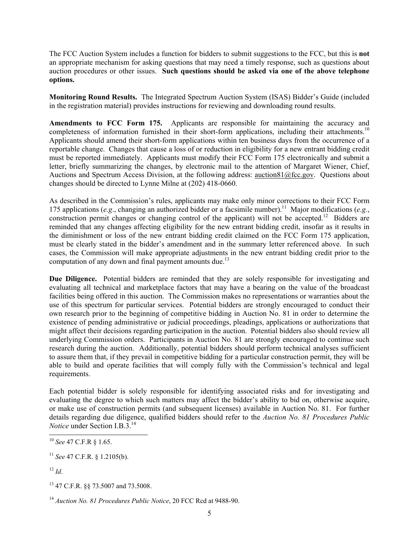The FCC Auction System includes a function for bidders to submit suggestions to the FCC, but this is **not** an appropriate mechanism for asking questions that may need a timely response, such as questions about auction procedures or other issues. **Such questions should be asked via one of the above telephone options.**

**Monitoring Round Results.** The Integrated Spectrum Auction System (ISAS) Bidder's Guide (included in the registration material) provides instructions for reviewing and downloading round results.

**Amendments to FCC Form 175.** Applicants are responsible for maintaining the accuracy and completeness of information furnished in their short-form applications, including their attachments.<sup>10</sup> Applicants should amend their short-form applications within ten business days from the occurrence of a reportable change. Changes that cause a loss of or reduction in eligibility for a new entrant bidding credit must be reported immediately. Applicants must modify their FCC Form 175 electronically and submit a letter, briefly summarizing the changes, by electronic mail to the attention of Margaret Wiener, Chief, Auctions and Spectrum Access Division, at the following address: auction81@fcc.gov. Questions about changes should be directed to Lynne Milne at (202) 418-0660.

As described in the Commission's rules, applicants may make only minor corrections to their FCC Form 175 applications (*e.g*., changing an authorized bidder or a facsimile number).11 Major modifications (*e.g.*, construction permit changes or changing control of the applicant) will not be accepted.12Bidders are reminded that any changes affecting eligibility for the new entrant bidding credit, insofar as it results in the diminishment or loss of the new entrant bidding credit claimed on the FCC Form 175 application, must be clearly stated in the bidder's amendment and in the summary letter referenced above. In such cases, the Commission will make appropriate adjustments in the new entrant bidding credit prior to the computation of any down and final payment amounts due.<sup>13</sup>

**Due Diligence.** Potential bidders are reminded that they are solely responsible for investigating and evaluating all technical and marketplace factors that may have a bearing on the value of the broadcast facilities being offered in this auction. The Commission makes no representations or warranties about the use of this spectrum for particular services. Potential bidders are strongly encouraged to conduct their own research prior to the beginning of competitive bidding in Auction No. 81 in order to determine the existence of pending administrative or judicial proceedings, pleadings, applications or authorizations that might affect their decisions regarding participation in the auction. Potential bidders also should review all underlying Commission orders. Participants in Auction No. 81 are strongly encouraged to continue such research during the auction. Additionally, potential bidders should perform technical analyses sufficient to assure them that, if they prevail in competitive bidding for a particular construction permit, they will be able to build and operate facilities that will comply fully with the Commission's technical and legal requirements.

Each potential bidder is solely responsible for identifying associated risks and for investigating and evaluating the degree to which such matters may affect the bidder's ability to bid on, otherwise acquire, or make use of construction permits (and subsequent licenses) available in Auction No. 81. For further details regarding due diligence, qualified bidders should refer to the *Auction No. 81 Procedures Public Notice* under Section I.B.3.14

<sup>10</sup> *See* 47 C.F.R § 1.65.

<sup>11</sup> *See* 47 C.F.R. § 1.2105(b).

 $12$  *Id.* 

<sup>13 47</sup> C.F.R. §§ 73.5007 and 73.5008.

<sup>14</sup> *Auction No. 81 Procedures Public Notice*, 20 FCC Rcd at 9488-90.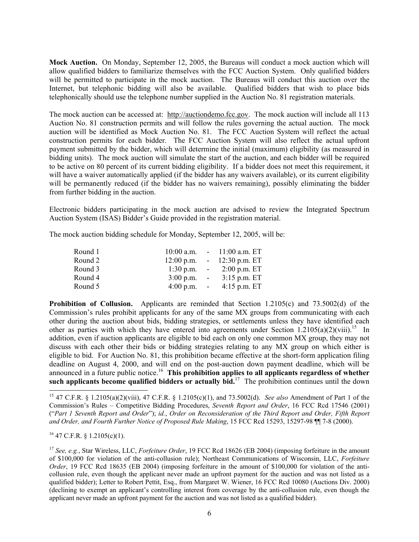**Mock Auction.** On Monday, September 12, 2005, the Bureaus will conduct a mock auction which will allow qualified bidders to familiarize themselves with the FCC Auction System. Only qualified bidders will be permitted to participate in the mock auction. The Bureaus will conduct this auction over the Internet, but telephonic bidding will also be available. Qualified bidders that wish to place bids telephonically should use the telephone number supplied in the Auction No. 81 registration materials.

The mock auction can be accessed at: http://auctiondemo.fcc.gov. The mock auction will include all 113 Auction No. 81 construction permits and will follow the rules governing the actual auction. The mock auction will be identified as Mock Auction No. 81. The FCC Auction System will reflect the actual construction permits for each bidder. The FCC Auction System will also reflect the actual upfront payment submitted by the bidder, which will determine the initial (maximum) eligibility (as measured in bidding units). The mock auction will simulate the start of the auction, and each bidder will be required to be active on 80 percent of its current bidding eligibility. If a bidder does not meet this requirement, it will have a waiver automatically applied (if the bidder has any waivers available), or its current eligibility will be permanently reduced (if the bidder has no waivers remaining), possibly eliminating the bidder from further bidding in the auction.

Electronic bidders participating in the mock auction are advised to review the Integrated Spectrum Auction System (ISAS) Bidder's Guide provided in the registration material.

The mock auction bidding schedule for Monday, September 12, 2005, will be:

| Round 1 |                       |                           | $10:00$ a.m. $-11:00$ a.m. ET                  |
|---------|-----------------------|---------------------------|------------------------------------------------|
| Round 2 |                       |                           | $12:00 \text{ p.m.}$ - $12:30 \text{ p.m.}$ ET |
| Round 3 | $1:30$ p.m.           |                           | $-2:00 \text{ p.m. ET}$                        |
| Round 4 | $3:00$ p.m.           | $\sim 10^{-10}$ m $^{-1}$ | $3:15$ p.m. ET                                 |
| Round 5 | $4:00 \text{ p.m.}$ - |                           | $4:15$ p.m. ET                                 |

**Prohibition of Collusion.** Applicants are reminded that Section 1.2105(c) and 73.5002(d) of the Commission's rules prohibit applicants for any of the same MX groups from communicating with each other during the auction about bids, bidding strategies, or settlements unless they have identified each other as parties with which they have entered into agreements under Section 1.2105(a)(2)(viii).<sup>15</sup> In addition, even if auction applicants are eligible to bid each on only one common MX group, they may not discuss with each other their bids or bidding strategies relating to any MX group on which either is eligible to bid. For Auction No. 81, this prohibition became effective at the short-form application filing deadline on August 4, 2000, and will end on the post-auction down payment deadline, which will be announced in a future public notice.<sup>16</sup> This prohibition applies to all applicants regardless of whether **such applicants become qualified bidders or actually bid.**<sup>17</sup> The prohibition continues until the down

15 47 C.F.R. § 1.2105(a)(2)(viii), 47 C.F.R. § 1.2105(c)(1), and 73.5002(d). *See also* Amendment of Part 1 of the Commission's Rules – Competitive Bidding Procedures, *Seventh Report and Order*, 16 FCC Rcd 17546 (2001) ("*Part 1 Seventh Report and Order*"); *id.*, *Order on Reconsideration of the Third Report and Order, Fifth Report and Order, and Fourth Further Notice of Proposed Rule Making*, 15 FCC Rcd 15293, 15297-98 ¶¶ 7-8 (2000).

 $^{16}$  47 C.F.R. § 1.2105(c)(1).

 $\overline{a}$ 

<sup>17</sup> *See, e.g.*, Star Wireless, LLC, *Forfeiture Order*, 19 FCC Rcd 18626 (EB 2004) (imposing forfeiture in the amount of \$100,000 for violation of the anti-collusion rule); Northeast Communications of Wisconsin, LLC, *Forfeiture Order*, 19 FCC Rcd 18635 (EB 2004) (imposing forfeiture in the amount of \$100,000 for violation of the anticollusion rule, even though the applicant never made an upfront payment for the auction and was not listed as a qualified bidder); Letter to Robert Pettit, Esq., from Margaret W. Wiener, 16 FCC Rcd 10080 (Auctions Div. 2000) (declining to exempt an applicant's controlling interest from coverage by the anti-collusion rule, even though the applicant never made an upfront payment for the auction and was not listed as a qualified bidder).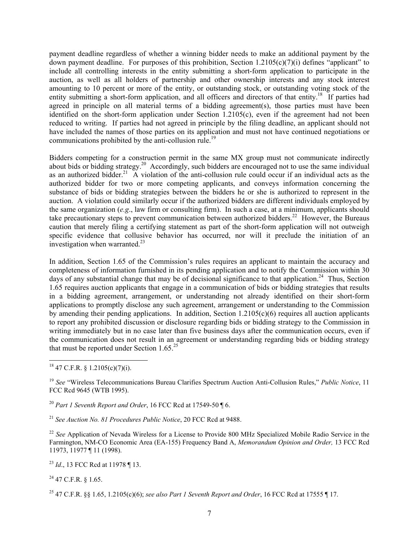payment deadline regardless of whether a winning bidder needs to make an additional payment by the down payment deadline. For purposes of this prohibition, Section 1.2105(c)(7)(i) defines "applicant" to include all controlling interests in the entity submitting a short-form application to participate in the auction, as well as all holders of partnership and other ownership interests and any stock interest amounting to 10 percent or more of the entity, or outstanding stock, or outstanding voting stock of the entity submitting a short-form application, and all officers and directors of that entity.<sup>18</sup> If parties had agreed in principle on all material terms of a bidding agreement(s), those parties must have been identified on the short-form application under Section  $1.2105(c)$ , even if the agreement had not been reduced to writing. If parties had not agreed in principle by the filing deadline, an applicant should not have included the names of those parties on its application and must not have continued negotiations or communications prohibited by the anti-collusion rule.<sup>19</sup>

Bidders competing for a construction permit in the same MX group must not communicate indirectly about bids or bidding strategy.<sup>20</sup> Accordingly, such bidders are encouraged not to use the same individual as an authorized bidder.<sup>21</sup> A violation of the anti-collusion rule could occur if an individual acts as the authorized bidder for two or more competing applicants, and conveys information concerning the substance of bids or bidding strategies between the bidders he or she is authorized to represent in the auction. A violation could similarly occur if the authorized bidders are different individuals employed by the same organization (*e.g*., law firm or consulting firm). In such a case, at a minimum, applicants should take precautionary steps to prevent communication between authorized bidders.<sup>22</sup> However, the Bureaus caution that merely filing a certifying statement as part of the short-form application will not outweigh specific evidence that collusive behavior has occurred, nor will it preclude the initiation of an investigation when warranted. $^{23}$ 

In addition, Section 1.65 of the Commission's rules requires an applicant to maintain the accuracy and completeness of information furnished in its pending application and to notify the Commission within 30 days of any substantial change that may be of decisional significance to that application.<sup>24</sup> Thus, Section 1.65 requires auction applicants that engage in a communication of bids or bidding strategies that results in a bidding agreement, arrangement, or understanding not already identified on their short-form applications to promptly disclose any such agreement, arrangement or understanding to the Commission by amending their pending applications. In addition, Section 1.2105(c)(6) requires all auction applicants to report any prohibited discussion or disclosure regarding bids or bidding strategy to the Commission in writing immediately but in no case later than five business days after the communication occurs, even if the communication does not result in an agreement or understanding regarding bids or bidding strategy that must be reported under Section  $1.65^{25}$ 

<sup>20</sup> *Part 1 Seventh Report and Order*, 16 FCC Rcd at 17549-50 ¶ 6.

<sup>21</sup> *See Auction No. 81 Procedures Public Notice*, 20 FCC Rcd at 9488.

<sup>22</sup> See Application of Nevada Wireless for a License to Provide 800 MHz Specialized Mobile Radio Service in the Farmington, NM-CO Economic Area (EA-155) Frequency Band A, *Memorandum Opinion and Order,* 13 FCC Rcd 11973, 11977 ¶ 11 (1998).

<sup>23</sup> *Id*., 13 FCC Rcd at 11978 ¶ 13.

 $^{24}$  47 C.F.R. § 1.65.

25 47 C.F.R. §§ 1.65, 1.2105(c)(6); *see also Part 1 Seventh Report and Order*, 16 FCC Rcd at 17555 ¶ 17.

 $\overline{a}$  $18$  47 C.F.R. § 1.2105(c)(7)(i).

<sup>19</sup> *See* "Wireless Telecommunications Bureau Clarifies Spectrum Auction Anti-Collusion Rules," *Public Notice*, 11 FCC Rcd 9645 (WTB 1995).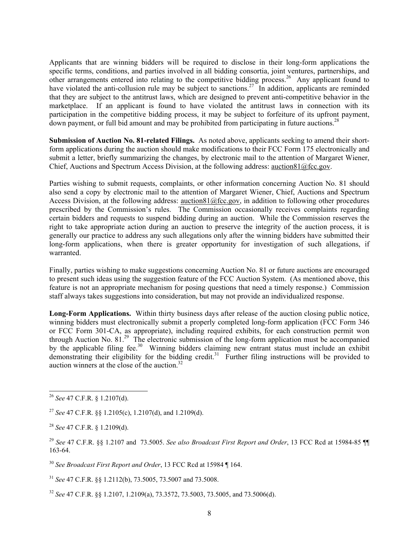Applicants that are winning bidders will be required to disclose in their long-form applications the specific terms, conditions, and parties involved in all bidding consortia, joint ventures, partnerships, and other arrangements entered into relating to the competitive bidding process.26 Any applicant found to have violated the anti-collusion rule may be subject to sanctions.<sup>27</sup> In addition, applicants are reminded that they are subject to the antitrust laws, which are designed to prevent anti-competitive behavior in the marketplace. If an applicant is found to have violated the antitrust laws in connection with its participation in the competitive bidding process, it may be subject to forfeiture of its upfront payment, down payment, or full bid amount and may be prohibited from participating in future auctions.<sup>28</sup>

**Submission of Auction No. 81-related Filings.** As noted above, applicants seeking to amend their shortform applications during the auction should make modifications to their FCC Form 175 electronically and submit a letter, briefly summarizing the changes, by electronic mail to the attention of Margaret Wiener, Chief, Auctions and Spectrum Access Division, at the following address: auction81@fcc.gov.

Parties wishing to submit requests, complaints, or other information concerning Auction No. 81 should also send a copy by electronic mail to the attention of Margaret Wiener, Chief, Auctions and Spectrum Access Division, at the following address: auction81@fcc.gov, in addition to following other procedures prescribed by the Commission's rules. The Commission occasionally receives complaints regarding certain bidders and requests to suspend bidding during an auction. While the Commission reserves the right to take appropriate action during an auction to preserve the integrity of the auction process, it is generally our practice to address any such allegations only after the winning bidders have submitted their long-form applications, when there is greater opportunity for investigation of such allegations, if warranted.

Finally, parties wishing to make suggestions concerning Auction No. 81 or future auctions are encouraged to present such ideas using the suggestion feature of the FCC Auction System. (As mentioned above, this feature is not an appropriate mechanism for posing questions that need a timely response.) Commission staff always takes suggestions into consideration, but may not provide an individualized response.

**Long-Form Applications.** Within thirty business days after release of the auction closing public notice, winning bidders must electronically submit a properly completed long-form application (FCC Form 346 or FCC Form 301-CA, as appropriate), including required exhibits, for each construction permit won through Auction No. 81.<sup>29</sup> The electronic submission of the long-form application must be accompanied by the applicable filing fee.<sup>30</sup> Winning bidders claiming new entrant status must include an exhibit demonstrating their eligibility for the bidding credit.<sup>31</sup> Further filing instructions will be provided to auction winners at the close of the auction.<sup>32</sup>

<sup>30</sup> *See Broadcast First Report and Order*, 13 FCC Rcd at 15984 ¶ 164.

<sup>31</sup> *See* 47 C.F.R. §§ 1.2112(b), 73.5005, 73.5007 and 73.5008.

<sup>32</sup> *See* 47 C.F.R. §§ 1.2107, 1.2109(a), 73.3572, 73.5003, 73.5005, and 73.5006(d).

l <sup>26</sup> *See* 47 C.F.R. § 1.2107(d).

<sup>27</sup> *See* 47 C.F.R. §§ 1.2105(c), 1.2107(d), and 1.2109(d).

<sup>28</sup> *See* 47 C.F.R. § 1.2109(d).

<sup>29</sup> *See* 47 C.F.R. §§ 1.2107 and 73.5005. *See also Broadcast First Report and Order*, 13 FCC Rcd at 15984-85 ¶¶ 163-64.